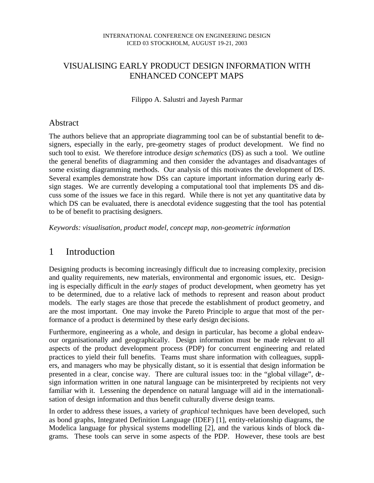## VISUALISING EARLY PRODUCT DESIGN INFORMATION WITH ENHANCED CONCEPT MAPS

Filippo A. Salustri and Jayesh Parmar

#### Abstract

The authors believe that an appropriate diagramming tool can be of substantial benefit to designers, especially in the early, pre-geometry stages of product development. We find no such tool to exist. We therefore introduce *design schematics* (DS) as such a tool. We outline the general benefits of diagramming and then consider the advantages and disadvantages of some existing diagramming methods. Our analysis of this motivates the development of DS. Several examples demonstrate how DSs can capture important information during early design stages. We are currently developing a computational tool that implements DS and discuss some of the issues we face in this regard. While there is not yet any quantitative data by which DS can be evaluated, there is anecdotal evidence suggesting that the tool has potential to be of benefit to practising designers.

*Keywords: visualisation, product model, concept map, non-geometric information*

## 1 Introduction

Designing products is becoming increasingly difficult due to increasing complexity, precision and quality requirements, new materials, environmental and ergonomic issues, etc. Designing is especially difficult in the *early stages* of product development, when geometry has yet to be determined, due to a relative lack of methods to represent and reason about product models. The early stages are those that precede the establishment of product geometry, and are the most important. One may invoke the Pareto Principle to argue that most of the performance of a product is determined by these early design decisions.

Furthermore, engineering as a whole, and design in particular, has become a global endeavour organisationally and geographically. Design information must be made relevant to all aspects of the product development process (PDP) for concurrent engineering and related practices to yield their full benefits. Teams must share information with colleagues, suppliers, and managers who may be physically distant, so it is essential that design information be presented in a clear, concise way. There are cultural issues too: in the "global village", design information written in one natural language can be misinterpreted by recipients not very familiar with it. Lessening the dependence on natural language will aid in the internationalisation of design information and thus benefit culturally diverse design teams.

In order to address these issues, a variety of *graphical* techniques have been developed, such as bond graphs, Integrated Definition Language (IDEF) [1], entity-relationship diagrams, the Modelica language for physical systems modelling [2], and the various kinds of block diagrams. These tools can serve in some aspects of the PDP. However, these tools are best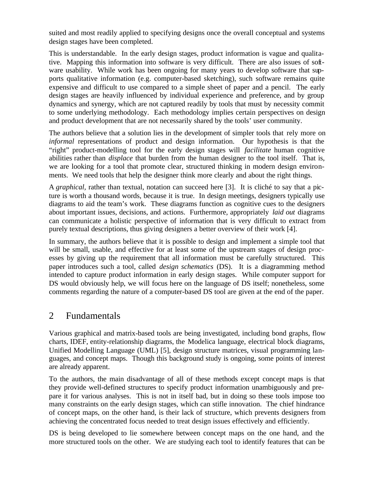suited and most readily applied to specifying designs once the overall conceptual and systems design stages have been completed.

This is understandable. In the early design stages, product information is vague and qualitative. Mapping this information into software is very difficult. There are also issues of software usability. While work has been ongoing for many years to develop software that supports qualitative information (e.g. computer-based sketching), such software remains quite expensive and difficult to use compared to a simple sheet of paper and a pencil. The early design stages are heavily influenced by individual experience and preference, and by group dynamics and synergy, which are not captured readily by tools that must by necessity commit to some underlying methodology. Each methodology implies certain perspectives on design and product development that are not necessarily shared by the tools' user community.

The authors believe that a solution lies in the development of simpler tools that rely more on *informal* representations of product and design information. Our hypothesis is that the "right" product-modelling tool for the early design stages will *facilitate* human cognitive abilities rather than *displace* that burden from the human designer to the tool itself. That is, we are looking for a tool that promote clear, structured thinking in modern design environments. We need tools that help the designer think more clearly and about the right things.

A *graphical,* rather than textual, notation can succeed here [3]. It is cliché to say that a picture is worth a thousand words, because it is true. In design meetings, designers typically use diagrams to aid the team's work. These diagrams function as cognitive cues to the designers about important issues, decisions, and actions. Furthermore, appropriately *laid out* diagrams can communicate a holistic perspective of information that is very difficult to extract from purely textual descriptions, thus giving designers a better overview of their work [4].

In summary, the authors believe that it is possible to design and implement a simple tool that will be small, usable, and effective for at least some of the upstream stages of design processes by giving up the requirement that all information must be carefully structured. This paper introduces such a tool, called *design schematics* (DS). It is a diagramming method intended to capture product information in early design stages. While computer support for DS would obviously help, we will focus here on the language of DS itself; nonetheless, some comments regarding the nature of a computer-based DS tool are given at the end of the paper.

## 2 Fundamentals

Various graphical and matrix-based tools are being investigated, including bond graphs, flow charts, IDEF, entity-relationship diagrams, the Modelica language, electrical block diagrams, Unified Modelling Language (UML) [5], design structure matrices, visual programming languages, and concept maps. Though this background study is ongoing, some points of interest are already apparent.

To the authors, the main disadvantage of all of these methods except concept maps is that they provide well-defined structures to specify product information unambiguously and prepare it for various analyses. This is not in itself bad, but in doing so these tools impose too many constraints on the early design stages, which can stifle innovation. The chief hindrance of concept maps, on the other hand, is their lack of structure, which prevents designers from achieving the concentrated focus needed to treat design issues effectively and efficiently.

DS is being developed to lie somewhere between concept maps on the one hand, and the more structured tools on the other. We are studying each tool to identify features that can be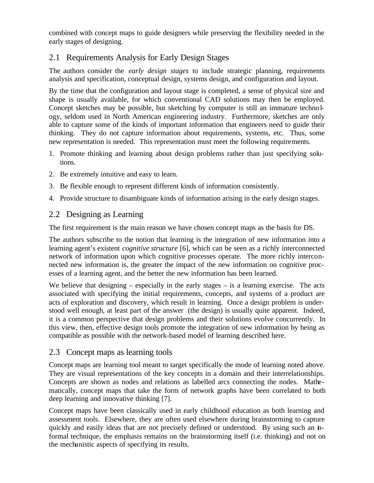combined with concept maps to guide designers while preserving the flexibility needed in the early stages of designing.

## 2.1 Requirements Analysis for Early Design Stages

The authors consider the *early design stages* to include strategic planning, requirements analysis and specification, conceptual design, systems design, and configuration and layout.

By the time that the configuration and layout stage is completed, a sense of physical size and shape is usually available, for which conventional CAD solutions may then be employed. Concept sketches may be possible, but sketching by computer is still an immature technology, seldom used in North American engineering industry. Furthermore, sketches are only able to capture some of the kinds of important information that engineers need to guide their thinking. They do not capture information about requirements, systems, etc. Thus, some new representation is needed. This representation must meet the following requirements.

- 1. Promote thinking and learning about design problems rather than just specifying solutions.
- 2. Be extremely intuitive and easy to learn.
- 3. Be flexible enough to represent different kinds of information consistently.
- 4. Provide structure to disambiguate kinds of information arising in the early design stages.

#### 2.2 Designing as Learning

The first requirement is the main reason we have chosen concept maps as the basis for DS.

The authors subscribe to the notion that learning is the integration of new information into a learning agent's existent *cognitive structure* [6], which can be seen as a richly interconnected network of information upon which cognitive processes operate. The more richly interconnected new information is, the greater the impact of the new information on cognitive processes of a learning agent, and the better the new information has been learned.

We believe that designing  $-$  especially in the early stages  $-$  is a learning exercise. The acts associated with specifying the initial requirements, concepts, and systems of a product are acts of exploration and discovery, which result in learning. Once a design problem is understood well enough, at least part of the answer (the design) is usually quite apparent. Indeed, it is a common perspective that design problems and their solutions evolve concurrently. In this view, then, effective design tools promote the integration of new information by being as compatible as possible with the network-based model of learning described here.

#### 2.3 Concept maps as learning tools

Concept maps are learning tool meant to target specifically the mode of learning noted above. They are visual representations of the key concepts in a domain and their interrelationships. Concepts are shown as nodes and relations as labelled arcs connecting the nodes. Mathematically, concept maps that take the form of network graphs have been correlated to both deep learning and innovative thinking [7].

Concept maps have been classically used in early childhood education as both learning and assessment tools. Elsewhere, they are often used elsewhere during brainstorming to capture quickly and easily ideas that are not precisely defined or understood. By using such an informal technique, the emphasis remains on the brainstorming itself (i.e. thinking) and not on the mechanistic aspects of specifying its results.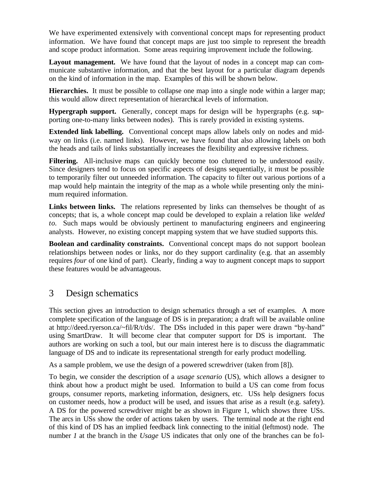We have experimented extensively with conventional concept maps for representing product information. We have found that concept maps are just too simple to represent the breadth and scope product information. Some areas requiring improvement include the following.

**Layout management.** We have found that the layout of nodes in a concept map can communicate substantive information, and that the best layout for a particular diagram depends on the kind of information in the map. Examples of this will be shown below.

**Hierarchies.** It must be possible to collapse one map into a single node within a larger map; this would allow direct representation of hierarchical levels of information.

**Hypergraph support.** Generally, concept maps for design will be hypergraphs (e.g. supporting one-to-many links between nodes). This is rarely provided in existing systems.

**Extended link labelling.** Conventional concept maps allow labels only on nodes and midway on links (i.e. named links). However, we have found that also allowing labels on both the heads and tails of links substantially increases the flexibility and expressive richness.

Filtering. All-inclusive maps can quickly become too cluttered to be understood easily. Since designers tend to focus on specific aspects of designs sequentially, it must be possible to temporarily filter out unneeded information. The capacity to filter out various portions of a map would help maintain the integrity of the map as a whole while presenting only the minimum required information.

**Links between links.** The relations represented by links can themselves be thought of as concepts; that is, a whole concept map could be developed to explain a relation like *welded to*. Such maps would be obviously pertinent to manufacturing engineers and engineering analysts. However, no existing concept mapping system that we have studied supports this.

**Boolean and cardinality constraints.** Conventional concept maps do not support boolean relationships between nodes or links, nor do they support cardinality (e.g. that an assembly requires *four* of one kind of part). Clearly, finding a way to augment concept maps to support these features would be advantageous.

# 3 Design schematics

This section gives an introduction to design schematics through a set of examples. A more complete specification of the language of DS is in preparation; a draft will be available online at http://deed.ryerson.ca/~fil/R/t/ds/. The DSs included in this paper were drawn "by-hand" using SmartDraw. It will become clear that computer support for DS is important. The authors are working on such a tool, but our main interest here is to discuss the diagrammatic language of DS and to indicate its representational strength for early product modelling.

As a sample problem, we use the design of a powered screwdriver (taken from [8]).

To begin, we consider the description of a *usage scenario* (US), which allows a designer to think about how a product might be used. Information to build a US can come from focus groups, consumer reports, marketing information, designers, etc. USs help designers focus on customer needs, how a product will be used, and issues that arise as a result (e.g. safety). A DS for the powered screwdriver might be as shown in Figure 1, which shows three USs. The arcs in USs show the order of actions taken by users. The terminal node at the right end of this kind of DS has an implied feedback link connecting to the initial (leftmost) node. The number *1* at the branch in the *Usage* US indicates that only one of the branches can be fol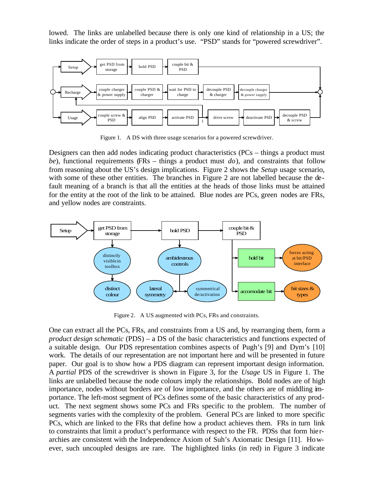lowed. The links are unlabelled because there is only one kind of relationship in a US; the links indicate the order of steps in a product's use. "PSD" stands for "powered screwdriver".



Figure 1. A DS with three usage scenarios for a powered screwdriver.

Designers can then add nodes indicating product characteristics (PCs – things a product must *be*), functional requirements (FRs – things a product must *do*), and constraints that follow from reasoning about the US's design implications. Figure 2 shows the *Setup* usage scenario, with some of these other entities. The branches in Figure 2 are not labelled because the default meaning of a branch is that all the entities at the heads of those links must be attained for the entity at the root of the link to be attained. Blue nodes are PCs, green nodes are FRs, and yellow nodes are constraints.



Figure 2. A US augmented with PCs, FRs and constraints.

One can extract all the PCs, FRs, and constraints from a US and, by rearranging them, form a *product design schematic* (PDS) – a DS of the basic characteristics and functions expected of a suitable design. Our PDS representation combines aspects of Pugh's [9] and Dym's [10] work. The details of our representation are not important here and will be presented in future paper. Our goal is to show how a PDS diagram can represent important design information. A *partial* PDS of the screwdriver is shown in Figure 3, for the *Usage* US in Figure 1. The links are unlabelled because the node colours imply the relationships. Bold nodes are of high importance, nodes without borders are of low importance, and the others are of middling importance. The left-most segment of PCs defines some of the basic characteristics of any product. The next segment shows some PCs and FRs specific to the problem. The number of segments varies with the complexity of the problem. General PCs are linked to more specific PCs, which are linked to the FRs that define how a product achieves them. FRs in turn link to constraints that limit a product's performance with respect to the FR. PDSs that form hierarchies are consistent with the Independence Axiom of Suh's Axiomatic Design [11]. However, such uncoupled designs are rare. The highlighted links (in red) in Figure 3 indicate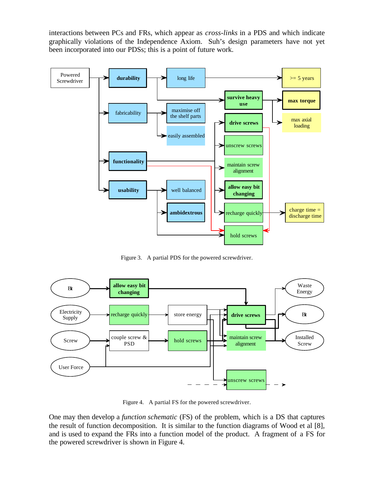interactions between PCs and FRs, which appear as *cross-links* in a PDS and which indicate graphically violations of the Independence Axiom. Suh's design parameters have not yet been incorporated into our PDSs; this is a point of future work.



Figure 3. A partial PDS for the powered screwdriver.



Figure 4. A partial FS for the powered screwdriver.

One may then develop a *function schematic* (FS) of the problem, which is a DS that captures the result of function decomposition. It is similar to the function diagrams of Wood et al [8], and is used to expand the FRs into a function model of the product. A fragment of a FS for the powered screwdriver is shown in Figure 4.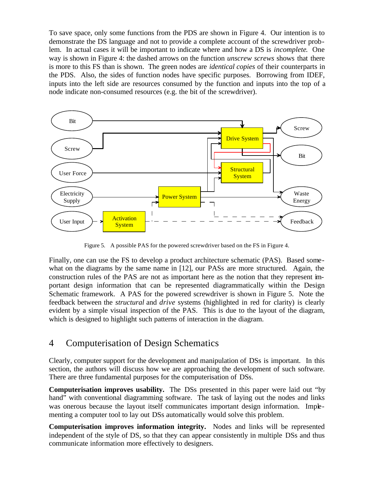To save space, only some functions from the PDS are shown in Figure 4. Our intention is to demonstrate the DS language and not to provide a complete account of the screwdriver problem. In actual cases it will be important to indicate where and how a DS is *incomplete*. One way is shown in Figure 4: the dashed arrows on the function *unscrew screws* shows that there is more to this FS than is shown. The green nodes are *identical copies* of their counterparts in the PDS. Also, the sides of function nodes have specific purposes. Borrowing from IDEF, inputs into the left side are resources consumed by the function and inputs into the top of a node indicate non-consumed resources (e.g. the bit of the screwdriver).



Figure 5. A possible PAS for the powered screwdriver based on the FS in Figure 4.

Finally, one can use the FS to develop a product architecture schematic (PAS). Based somewhat on the diagrams by the same name in [12], our PASs are more structured. Again, the construction rules of the PAS are not as important here as the notion that they represent important design information that can be represented diagrammatically within the Design Schematic framework. A PAS for the powered screwdriver is shown in Figure 5. Note the feedback between the *structural* and *drive* systems (highlighted in red for clarity) is clearly evident by a simple visual inspection of the PAS. This is due to the layout of the diagram, which is designed to highlight such patterns of interaction in the diagram.

### 4 Computerisation of Design Schematics

Clearly, computer support for the development and manipulation of DSs is important. In this section, the authors will discuss how we are approaching the development of such software. There are three fundamental purposes for the computerisation of DSs.

**Computerisation improves usability.** The DSs presented in this paper were laid out "by hand" with conventional diagramming software. The task of laying out the nodes and links was onerous because the layout itself communicates important design information. Implementing a computer tool to lay out DSs automatically would solve this problem.

**Computerisation improves information integrity.** Nodes and links will be represented independent of the style of DS, so that they can appear consistently in multiple DSs and thus communicate information more effectively to designers.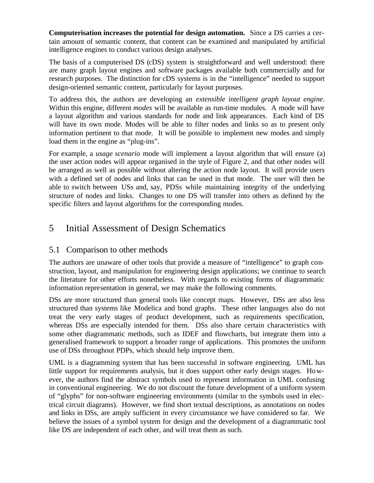**Computerisation increases the potential for design automation.** Since a DS carries a certain amount of semantic content, that content can be examined and manipulated by artificial intelligence engines to conduct various design analyses.

The basis of a computerised DS (cDS) system is straightforward and well understood: there are many graph layout engines and software packages available both commercially and for research purposes. The distinction for cDS systems is in the "intelligence" needed to support design-oriented semantic content, particularly for layout purposes.

To address this, the authors are developing an *extensible intelligent graph layout engine*. Within this engine, different *modes* will be available as run-time modules. A mode will have a layout algorithm and various standards for node and link appearances. Each kind of DS will have its own mode. Modes will be able to filter nodes and links so as to present only information pertinent to that mode. It will be possible to implement new modes and simply load them in the engine as "plug-ins".

For example, a *usage scenario* mode will implement a layout algorithm that will ensure (a) the user action nodes will appear organised in the style of Figure 2, and that other nodes will be arranged as well as possible without altering the action node layout. It will provide users with a defined set of nodes and links that can be used in that mode. The user will then be able to switch between USs and, say, PDSs while maintaining integrity of the underlying structure of nodes and links. Changes to one DS will transfer into others as defined by the specific filters and layout algorithms for the corresponding modes.

# 5 Initial Assessment of Design Schematics

### 5.1 Comparison to other methods

The authors are unaware of other tools that provide a measure of "intelligence" to graph construction, layout, and manipulation for engineering design applications; we continue to search the literature for other efforts nonetheless. With regards to existing forms of diagrammatic information representation in general, we may make the following comments.

DSs are more structured than general tools like concept maps. However, DSs are also less structured than systems like Modelica and bond graphs. These other languages also do not treat the very early stages of product development, such as requirements specification, whereas DSs are especially intended for them. DSs also share certain characteristics with some other diagrammatic methods, such as IDEF and flowcharts, but integrate them into a generalised framework to support a broader range of applications. This promotes the uniform use of DSs throughout PDPs, which should help improve them.

UML is a diagramming system that has been successful in software engineering. UML has little support for requirements analysis, but it does support other early design stages. However, the authors find the abstract symbols used to represent information in UML confusing in conventional engineering. We do not discount the future development of a uniform system of "glyphs" for non-software engineering environments (similar to the symbols used in electrical circuit diagrams). However, we find short textual descriptions, as annotations on nodes and links in DSs, are amply sufficient in every circumstance we have considered so far. We believe the issues of a symbol system for design and the development of a diagrammatic tool like DS are independent of each other, and will treat them as such.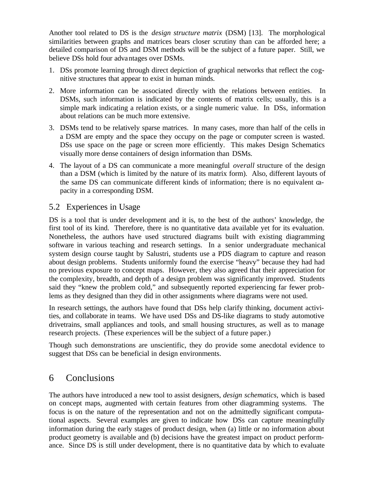Another tool related to DS is the *design structure matrix* (DSM) [13]. The morphological similarities between graphs and matrices bears closer scrutiny than can be afforded here; a detailed comparison of DS and DSM methods will be the subject of a future paper. Still, we believe DSs hold four advantages over DSMs.

- 1. DSs promote learning through direct depiction of graphical networks that reflect the cognitive structures that appear to exist in human minds.
- 2. More information can be associated directly with the relations between entities. In DSMs, such information is indicated by the contents of matrix cells; usually, this is a simple mark indicating a relation exists, or a single numeric value. In DSs, information about relations can be much more extensive.
- 3. DSMs tend to be relatively sparse matrices. In many cases, more than half of the cells in a DSM are empty and the space they occupy on the page or computer screen is wasted. DSs use space on the page or screen more efficiently. This makes Design Schematics visually more dense containers of design information than DSMs.
- 4. The layout of a DS can communicate a more meaningful *overall* structure of the design than a DSM (which is limited by the nature of its matrix form). Also, different layouts of the same DS can communicate different kinds of information; there is no equivalent capacity in a corresponding DSM.

### 5.2 Experiences in Usage

DS is a tool that is under development and it is, to the best of the authors' knowledge, the first tool of its kind. Therefore, there is no quantitative data available yet for its evaluation. Nonetheless, the authors have used structured diagrams built with existing diagramming software in various teaching and research settings. In a senior undergraduate mechanical system design course taught by Salustri, students use a PDS diagram to capture and reason about design problems. Students uniformly found the exercise "heavy" because they had had no previous exposure to concept maps. However, they also agreed that their appreciation for the complexity, breadth, and depth of a design problem was significantly improved. Students said they "knew the problem cold," and subsequently reported experiencing far fewer problems as they designed than they did in other assignments where diagrams were not used.

In research settings, the authors have found that DSs help clarify thinking, document activities, and collaborate in teams. We have used DSs and DS-like diagrams to study automotive drivetrains, small appliances and tools, and small housing structures, as well as to manage research projects. (These experiences will be the subject of a future paper.)

Though such demonstrations are unscientific, they do provide some anecdotal evidence to suggest that DSs can be beneficial in design environments.

# 6 Conclusions

The authors have introduced a new tool to assist designers, *design schematics*, which is based on concept maps, augmented with certain features from other diagramming systems. The focus is on the nature of the representation and not on the admittedly significant computational aspects. Several examples are given to indicate how DSs can capture meaningfully information during the early stages of product design, when (a) little or no information about product geometry is available and (b) decisions have the greatest impact on product performance. Since DS is still under development, there is no quantitative data by which to evaluate